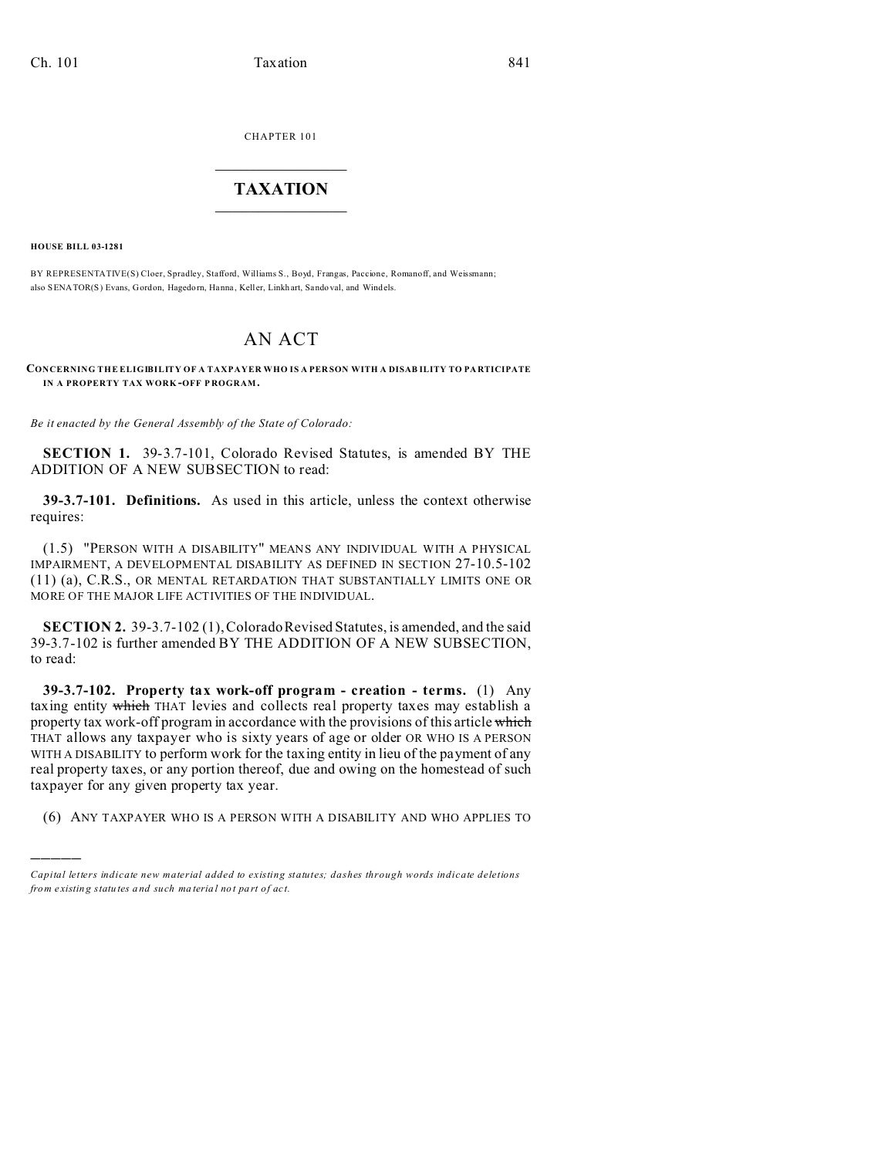CHAPTER 101  $\overline{\phantom{a}}$  , where  $\overline{\phantom{a}}$ 

## **TAXATION**  $\_$

**HOUSE BILL 03-1281**

)))))

BY REPRESENTATIVE(S) Cloer, Spradley, Stafford, Williams S., Boyd, Frangas, Paccione, Romanoff, and Weissmann; also SENATOR(S) Evans, Gordon, Hagedorn, Hanna , Keller, Linkhart, Sando val, and Windels.

## AN ACT

## **CONCERNING THE ELIGIBILITY OF A TAXPAYER WHO IS A PER SON WITH A DISAB ILITY TO PA RTICIPATE IN A PROPERTY TAX WORK -OFF P ROGRAM.**

*Be it enacted by the General Assembly of the State of Colorado:*

**SECTION 1.** 39-3.7-101, Colorado Revised Statutes, is amended BY THE ADDITION OF A NEW SUBSECTION to read:

**39-3.7-101. Definitions.** As used in this article, unless the context otherwise requires:

(1.5) "PERSON WITH A DISABILITY" MEANS ANY INDIVIDUAL WITH A PHYSICAL IMPAIRMENT, A DEVELOPMENTAL DISABILITY AS DEFINED IN SECTION 27-10.5-102 (11) (a), C.R.S., OR MENTAL RETARDATION THAT SUBSTANTIALLY LIMITS ONE OR MORE OF THE MAJOR LIFE ACTIVITIES OF THE INDIVIDUAL.

**SECTION 2.** 39-3.7-102 (1), Colorado Revised Statutes, is amended, and the said 39-3.7-102 is further amended BY THE ADDITION OF A NEW SUBSECTION, to read:

**39-3.7-102. Property tax work-off program - creation - terms.** (1) Any taxing entity which THAT levies and collects real property taxes may establish a property tax work-off program in accordance with the provisions of this article which THAT allows any taxpayer who is sixty years of age or older OR WHO IS A PERSON WITH A DISABILITY to perform work for the taxing entity in lieu of the payment of any real property taxes, or any portion thereof, due and owing on the homestead of such taxpayer for any given property tax year.

(6) ANY TAXPAYER WHO IS A PERSON WITH A DISABILITY AND WHO APPLIES TO

*Capital letters indicate new material added to existing statutes; dashes through words indicate deletions from e xistin g statu tes a nd such ma teria l no t pa rt of ac t.*